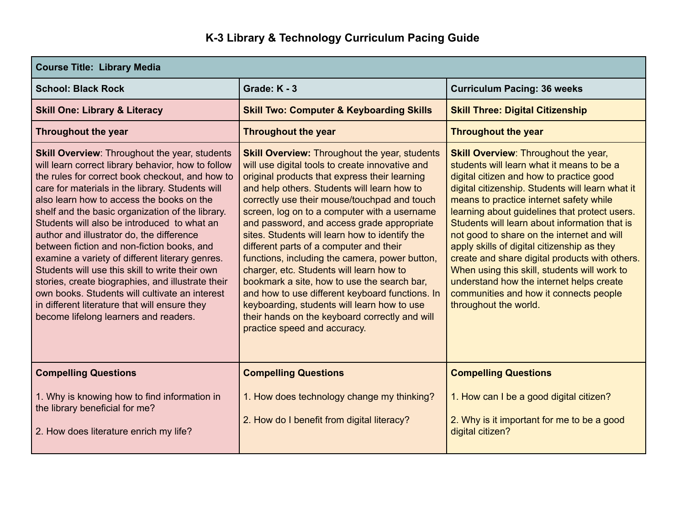## **K-3 Library & Technology Curriculum Pacing Guide**

| <b>Course Title: Library Media</b>                                                                                                                                                                                                                                                                                                                                                                                                                                                                                                                                                                                                                                                                                                                                  |                                                                                                                                                                                                                                                                                                                                                                                                                                                                                                                                                                                                                                                                                                                                                                                     |                                                                                                                                                                                                                                                                                                                                                                                                                                                                                                                                                                                                                                                     |  |  |
|---------------------------------------------------------------------------------------------------------------------------------------------------------------------------------------------------------------------------------------------------------------------------------------------------------------------------------------------------------------------------------------------------------------------------------------------------------------------------------------------------------------------------------------------------------------------------------------------------------------------------------------------------------------------------------------------------------------------------------------------------------------------|-------------------------------------------------------------------------------------------------------------------------------------------------------------------------------------------------------------------------------------------------------------------------------------------------------------------------------------------------------------------------------------------------------------------------------------------------------------------------------------------------------------------------------------------------------------------------------------------------------------------------------------------------------------------------------------------------------------------------------------------------------------------------------------|-----------------------------------------------------------------------------------------------------------------------------------------------------------------------------------------------------------------------------------------------------------------------------------------------------------------------------------------------------------------------------------------------------------------------------------------------------------------------------------------------------------------------------------------------------------------------------------------------------------------------------------------------------|--|--|
| <b>School: Black Rock</b>                                                                                                                                                                                                                                                                                                                                                                                                                                                                                                                                                                                                                                                                                                                                           | Grade: K - 3                                                                                                                                                                                                                                                                                                                                                                                                                                                                                                                                                                                                                                                                                                                                                                        | <b>Curriculum Pacing: 36 weeks</b>                                                                                                                                                                                                                                                                                                                                                                                                                                                                                                                                                                                                                  |  |  |
| <b>Skill One: Library &amp; Literacy</b>                                                                                                                                                                                                                                                                                                                                                                                                                                                                                                                                                                                                                                                                                                                            | <b>Skill Two: Computer &amp; Keyboarding Skills</b>                                                                                                                                                                                                                                                                                                                                                                                                                                                                                                                                                                                                                                                                                                                                 | <b>Skill Three: Digital Citizenship</b>                                                                                                                                                                                                                                                                                                                                                                                                                                                                                                                                                                                                             |  |  |
| <b>Throughout the year</b>                                                                                                                                                                                                                                                                                                                                                                                                                                                                                                                                                                                                                                                                                                                                          | <b>Throughout the year</b>                                                                                                                                                                                                                                                                                                                                                                                                                                                                                                                                                                                                                                                                                                                                                          | <b>Throughout the year</b>                                                                                                                                                                                                                                                                                                                                                                                                                                                                                                                                                                                                                          |  |  |
| <b>Skill Overview: Throughout the year, students</b><br>will learn correct library behavior, how to follow<br>the rules for correct book checkout, and how to<br>care for materials in the library. Students will<br>also learn how to access the books on the<br>shelf and the basic organization of the library.<br>Students will also be introduced to what an<br>author and illustrator do, the difference<br>between fiction and non-fiction books, and<br>examine a variety of different literary genres.<br>Students will use this skill to write their own<br>stories, create biographies, and illustrate their<br>own books. Students will cultivate an interest<br>in different literature that will ensure they<br>become lifelong learners and readers. | <b>Skill Overview: Throughout the year, students</b><br>will use digital tools to create innovative and<br>original products that express their learning<br>and help others. Students will learn how to<br>correctly use their mouse/touchpad and touch<br>screen, log on to a computer with a username<br>and password, and access grade appropriate<br>sites. Students will learn how to identify the<br>different parts of a computer and their<br>functions, including the camera, power button,<br>charger, etc. Students will learn how to<br>bookmark a site, how to use the search bar,<br>and how to use different keyboard functions. In<br>keyboarding, students will learn how to use<br>their hands on the keyboard correctly and will<br>practice speed and accuracy. | <b>Skill Overview: Throughout the year,</b><br>students will learn what it means to be a<br>digital citizen and how to practice good<br>digital citizenship. Students will learn what it<br>means to practice internet safety while<br>learning about guidelines that protect users.<br>Students will learn about information that is<br>not good to share on the internet and will<br>apply skills of digital citizenship as they<br>create and share digital products with others.<br>When using this skill, students will work to<br>understand how the internet helps create<br>communities and how it connects people<br>throughout the world. |  |  |
| <b>Compelling Questions</b>                                                                                                                                                                                                                                                                                                                                                                                                                                                                                                                                                                                                                                                                                                                                         | <b>Compelling Questions</b>                                                                                                                                                                                                                                                                                                                                                                                                                                                                                                                                                                                                                                                                                                                                                         | <b>Compelling Questions</b>                                                                                                                                                                                                                                                                                                                                                                                                                                                                                                                                                                                                                         |  |  |
| 1. Why is knowing how to find information in<br>the library beneficial for me?<br>2. How does literature enrich my life?                                                                                                                                                                                                                                                                                                                                                                                                                                                                                                                                                                                                                                            | 1. How does technology change my thinking?<br>2. How do I benefit from digital literacy?                                                                                                                                                                                                                                                                                                                                                                                                                                                                                                                                                                                                                                                                                            | 1. How can I be a good digital citizen?<br>2. Why is it important for me to be a good<br>digital citizen?                                                                                                                                                                                                                                                                                                                                                                                                                                                                                                                                           |  |  |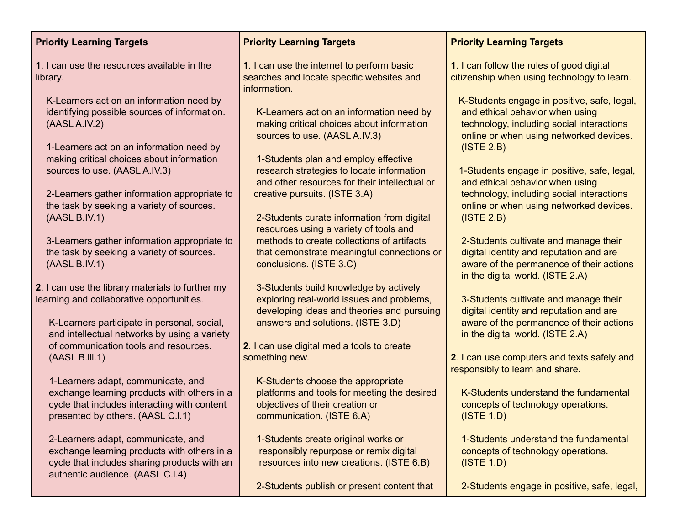| <b>Priority Learning Targets</b>                                                                                                                                        | <b>Priority Learning Targets</b>                                                                                                                                    | <b>Priority Learning Targets</b>                                                                                                                                                     |
|-------------------------------------------------------------------------------------------------------------------------------------------------------------------------|---------------------------------------------------------------------------------------------------------------------------------------------------------------------|--------------------------------------------------------------------------------------------------------------------------------------------------------------------------------------|
| 1. I can use the resources available in the<br>library.                                                                                                                 | 1. I can use the internet to perform basic<br>searches and locate specific websites and<br>information.                                                             | 1. I can follow the rules of good digital<br>citizenship when using technology to learn.                                                                                             |
| K-Learners act on an information need by<br>identifying possible sources of information.<br>(AASL A.IV.2)<br>1-Learners act on an information need by                   | K-Learners act on an information need by<br>making critical choices about information<br>sources to use. (AASL A.IV.3)                                              | K-Students engage in positive, safe, legal,<br>and ethical behavior when using<br>technology, including social interactions<br>online or when using networked devices.<br>(ISTE 2.B) |
| making critical choices about information<br>sources to use. (AASL A.IV.3)<br>2-Learners gather information appropriate to<br>the task by seeking a variety of sources. | 1-Students plan and employ effective<br>research strategies to locate information<br>and other resources for their intellectual or<br>creative pursuits. (ISTE 3.A) | 1-Students engage in positive, safe, legal,<br>and ethical behavior when using<br>technology, including social interactions<br>online or when using networked devices.               |
| (AASL B.IV.1)                                                                                                                                                           | 2-Students curate information from digital<br>resources using a variety of tools and                                                                                | (ISTE 2.B)                                                                                                                                                                           |
| 3-Learners gather information appropriate to<br>the task by seeking a variety of sources.<br>(AASL B.IV.1)                                                              | methods to create collections of artifacts<br>that demonstrate meaningful connections or<br>conclusions. (ISTE 3.C)                                                 | 2-Students cultivate and manage their<br>digital identity and reputation and are<br>aware of the permanence of their actions<br>in the digital world. (ISTE 2.A)                     |
| 2. I can use the library materials to further my<br>learning and collaborative opportunities.                                                                           | 3-Students build knowledge by actively<br>exploring real-world issues and problems,<br>developing ideas and theories and pursuing                                   | 3-Students cultivate and manage their<br>digital identity and reputation and are                                                                                                     |
| K-Learners participate in personal, social,<br>and intellectual networks by using a variety<br>of communication tools and resources.                                    | answers and solutions. (ISTE 3.D)<br>2. I can use digital media tools to create                                                                                     | aware of the permanence of their actions<br>in the digital world. (ISTE 2.A)                                                                                                         |
| (AASL B.III.1)                                                                                                                                                          | something new.<br>K-Students choose the appropriate                                                                                                                 | 2. I can use computers and texts safely and<br>responsibly to learn and share.                                                                                                       |
| 1-Learners adapt, communicate, and<br>exchange learning products with others in a<br>cycle that includes interacting with content<br>presented by others. (AASL C.I.1)  | platforms and tools for meeting the desired<br>objectives of their creation or<br>communication. (ISTE 6.A)                                                         | K-Students understand the fundamental<br>concepts of technology operations.<br>(ISTE 1.D)                                                                                            |
| 2-Learners adapt, communicate, and<br>exchange learning products with others in a<br>cycle that includes sharing products with an<br>authentic audience. (AASL C.I.4)   | 1-Students create original works or<br>responsibly repurpose or remix digital<br>resources into new creations. (ISTE 6.B)                                           | 1-Students understand the fundamental<br>concepts of technology operations.<br>(ISTE 1.D)                                                                                            |
|                                                                                                                                                                         | 2-Students publish or present content that                                                                                                                          | 2-Students engage in positive, safe, legal,                                                                                                                                          |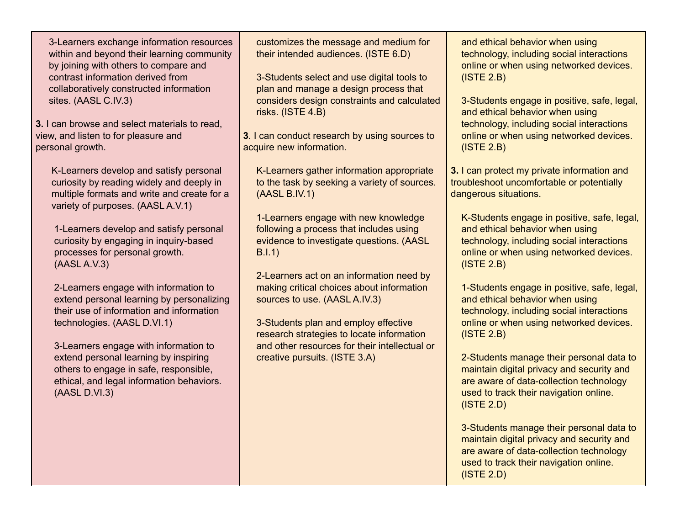3-Learners exchange information resources within and beyond their learning community by joining with others to compare and contrast information derived from collaboratively constructed information sites. (AASL C.IV.3)

**3.** I can browse and select materials to read, view, and listen to for pleasure and personal growth.

K-Learners develop and satisfy personal curiosity by reading widely and deeply in multiple formats and write and create for a variety of purposes. (AASL A.V.1)

1-Learners develop and satisfy personal curiosity by engaging in inquiry-based processes for personal growth. (AASL A.V.3)

2-Learners engage with information to extend personal learning by personalizing their use of information and information technologies. (AASL D.VI.1)

3-Learners engage with information to extend personal learning by inspiring others to engage in safe, responsible, ethical, and legal information behaviors. (AASL D.VI.3)

customizes the message and medium for their intended audiences. (ISTE 6.D)

3-Students select and use digital tools to plan and manage a design process that considers design constraints and calculated risks. (ISTE 4.B)

**3**. I can conduct research by using sources to acquire new information.

K-Learners gather information appropriate to the task by seeking a variety of sources. (AASL B.IV.1)

1-Learners engage with new knowledge following a process that includes using evidence to investigate questions. (AASL B.I.1)

2-Learners act on an information need by making critical choices about information sources to use. (AASL A.IV.3)

3-Students plan and employ effective research strategies to locate information and other resources for their intellectual or creative pursuits. (ISTE 3.A)

and ethical behavior when using technology, including social interactions online or when using networked devices. (ISTE 2.B)

3-Students engage in positive, safe, legal, and ethical behavior when using technology, including social interactions online or when using networked devices. (ISTE 2.B)

**3.** I can protect my private information and troubleshoot uncomfortable or potentially dangerous situations.

K-Students engage in positive, safe, legal, and ethical behavior when using technology, including social interactions online or when using networked devices. (ISTE 2.B)

1-Students engage in positive, safe, legal, and ethical behavior when using technology, including social interactions online or when using networked devices. (ISTE 2.B)

2-Students manage their personal data to maintain digital privacy and security and are aware of data-collection technology used to track their navigation online. (ISTE 2.D)

3-Students manage their personal data to maintain digital privacy and security and are aware of data-collection technology used to track their navigation online. (ISTE 2.D)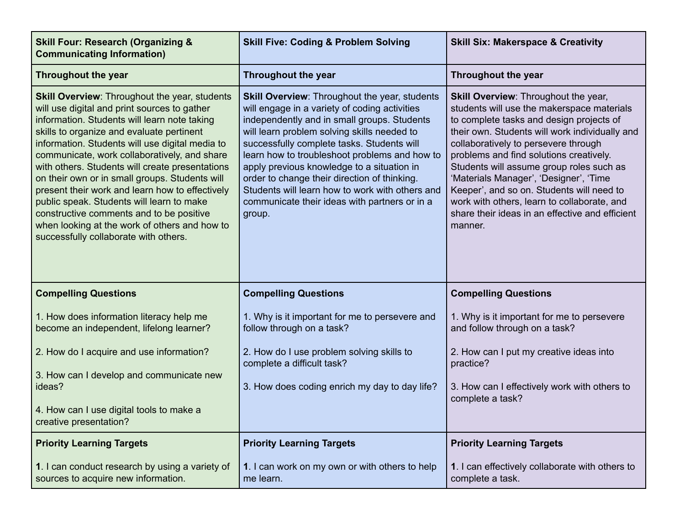| <b>Skill Four: Research (Organizing &amp;</b><br><b>Communicating Information)</b>                                                                                                                                                                                                                                                                                                                                                                                                                                                                                                                                                              | <b>Skill Five: Coding &amp; Problem Solving</b>                                                                                                                                                                                                                                                                                                                                                                                                                                                                | <b>Skill Six: Makerspace &amp; Creativity</b>                                                                                                                                                                                                                                                                                                                                                                                                                                                                       |
|-------------------------------------------------------------------------------------------------------------------------------------------------------------------------------------------------------------------------------------------------------------------------------------------------------------------------------------------------------------------------------------------------------------------------------------------------------------------------------------------------------------------------------------------------------------------------------------------------------------------------------------------------|----------------------------------------------------------------------------------------------------------------------------------------------------------------------------------------------------------------------------------------------------------------------------------------------------------------------------------------------------------------------------------------------------------------------------------------------------------------------------------------------------------------|---------------------------------------------------------------------------------------------------------------------------------------------------------------------------------------------------------------------------------------------------------------------------------------------------------------------------------------------------------------------------------------------------------------------------------------------------------------------------------------------------------------------|
| <b>Throughout the year</b>                                                                                                                                                                                                                                                                                                                                                                                                                                                                                                                                                                                                                      | <b>Throughout the year</b>                                                                                                                                                                                                                                                                                                                                                                                                                                                                                     | Throughout the year                                                                                                                                                                                                                                                                                                                                                                                                                                                                                                 |
| <b>Skill Overview: Throughout the year, students</b><br>will use digital and print sources to gather<br>information. Students will learn note taking<br>skills to organize and evaluate pertinent<br>information. Students will use digital media to<br>communicate, work collaboratively, and share<br>with others. Students will create presentations<br>on their own or in small groups. Students will<br>present their work and learn how to effectively<br>public speak. Students will learn to make<br>constructive comments and to be positive<br>when looking at the work of others and how to<br>successfully collaborate with others. | <b>Skill Overview: Throughout the year, students</b><br>will engage in a variety of coding activities<br>independently and in small groups. Students<br>will learn problem solving skills needed to<br>successfully complete tasks. Students will<br>learn how to troubleshoot problems and how to<br>apply previous knowledge to a situation in<br>order to change their direction of thinking.<br>Students will learn how to work with others and<br>communicate their ideas with partners or in a<br>group. | Skill Overview: Throughout the year,<br>students will use the makerspace materials<br>to complete tasks and design projects of<br>their own. Students will work individually and<br>collaboratively to persevere through<br>problems and find solutions creatively.<br>Students will assume group roles such as<br>'Materials Manager', 'Designer', 'Time<br>Keeper', and so on. Students will need to<br>work with others, learn to collaborate, and<br>share their ideas in an effective and efficient<br>manner. |
| <b>Compelling Questions</b>                                                                                                                                                                                                                                                                                                                                                                                                                                                                                                                                                                                                                     | <b>Compelling Questions</b>                                                                                                                                                                                                                                                                                                                                                                                                                                                                                    | <b>Compelling Questions</b>                                                                                                                                                                                                                                                                                                                                                                                                                                                                                         |
| 1. How does information literacy help me<br>become an independent, lifelong learner?                                                                                                                                                                                                                                                                                                                                                                                                                                                                                                                                                            | 1. Why is it important for me to persevere and<br>follow through on a task?                                                                                                                                                                                                                                                                                                                                                                                                                                    | 1. Why is it important for me to persevere<br>and follow through on a task?                                                                                                                                                                                                                                                                                                                                                                                                                                         |
| 2. How do I acquire and use information?                                                                                                                                                                                                                                                                                                                                                                                                                                                                                                                                                                                                        | 2. How do I use problem solving skills to<br>complete a difficult task?                                                                                                                                                                                                                                                                                                                                                                                                                                        | 2. How can I put my creative ideas into<br>practice?                                                                                                                                                                                                                                                                                                                                                                                                                                                                |
| 3. How can I develop and communicate new<br>ideas?                                                                                                                                                                                                                                                                                                                                                                                                                                                                                                                                                                                              | 3. How does coding enrich my day to day life?                                                                                                                                                                                                                                                                                                                                                                                                                                                                  | 3. How can I effectively work with others to<br>complete a task?                                                                                                                                                                                                                                                                                                                                                                                                                                                    |
| 4. How can I use digital tools to make a<br>creative presentation?                                                                                                                                                                                                                                                                                                                                                                                                                                                                                                                                                                              |                                                                                                                                                                                                                                                                                                                                                                                                                                                                                                                |                                                                                                                                                                                                                                                                                                                                                                                                                                                                                                                     |
| <b>Priority Learning Targets</b>                                                                                                                                                                                                                                                                                                                                                                                                                                                                                                                                                                                                                | <b>Priority Learning Targets</b>                                                                                                                                                                                                                                                                                                                                                                                                                                                                               | <b>Priority Learning Targets</b>                                                                                                                                                                                                                                                                                                                                                                                                                                                                                    |
| 1. I can conduct research by using a variety of<br>sources to acquire new information.                                                                                                                                                                                                                                                                                                                                                                                                                                                                                                                                                          | 1. I can work on my own or with others to help<br>me learn.                                                                                                                                                                                                                                                                                                                                                                                                                                                    | 1. I can effectively collaborate with others to<br>complete a task.                                                                                                                                                                                                                                                                                                                                                                                                                                                 |